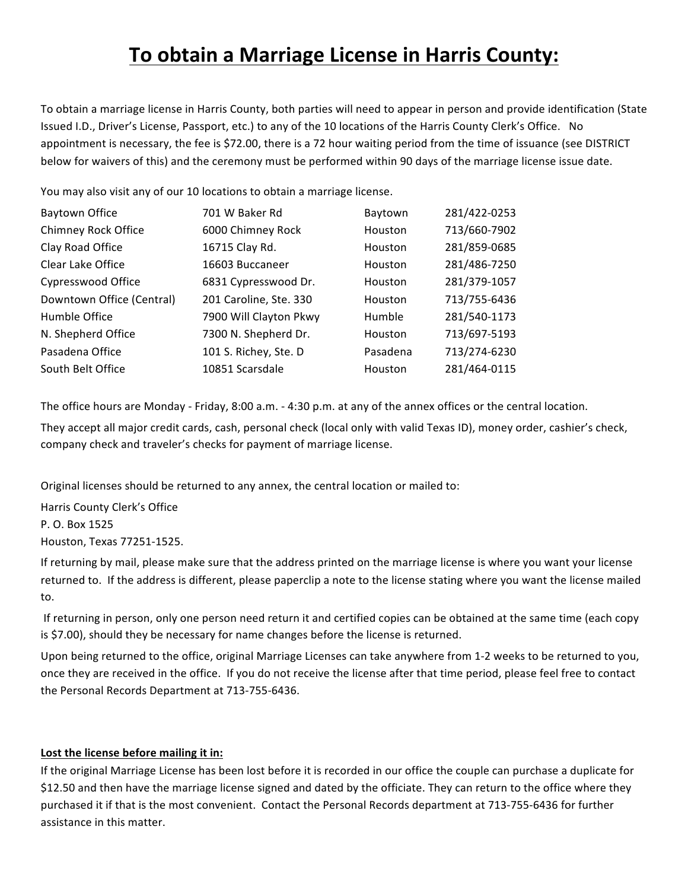# **To obtain a Marriage License in Harris County:**

To obtain a marriage license in Harris County, both parties will need to appear in person and provide identification (State Issued I.D., Driver's License, Passport, etc.) to any of the 10 locations of the Harris County Clerk's Office. No appointment is necessary, the fee is \$72.00, there is a 72 hour waiting period from the time of issuance (see DISTRICT below for waivers of this) and the ceremony must be performed within 90 days of the marriage license issue date.

You may also visit any of our 10 locations to obtain a marriage license.

| Baytown Office            | 701 W Baker Rd         | Baytown  | 281/422-0253 |
|---------------------------|------------------------|----------|--------------|
| Chimney Rock Office       | 6000 Chimney Rock      | Houston  | 713/660-7902 |
| Clay Road Office          | 16715 Clay Rd.         | Houston  | 281/859-0685 |
| Clear Lake Office         | 16603 Buccaneer        | Houston  | 281/486-7250 |
| Cypresswood Office        | 6831 Cypresswood Dr.   | Houston  | 281/379-1057 |
| Downtown Office (Central) | 201 Caroline, Ste. 330 | Houston  | 713/755-6436 |
| Humble Office             | 7900 Will Clayton Pkwy | Humble   | 281/540-1173 |
| N. Shepherd Office        | 7300 N. Shepherd Dr.   | Houston  | 713/697-5193 |
| Pasadena Office           | 101 S. Richey, Ste. D  | Pasadena | 713/274-6230 |
| South Belt Office         | 10851 Scarsdale        | Houston  | 281/464-0115 |

The office hours are Monday - Friday, 8:00 a.m. - 4:30 p.m. at any of the annex offices or the central location.

They accept all major credit cards, cash, personal check (local only with valid Texas ID), money order, cashier's check, company check and traveler's checks for payment of marriage license.

Original licenses should be returned to any annex, the central location or mailed to:

Harris County Clerk's Office P. O. Box 1525 Houston, Texas 77251-1525. 

If returning by mail, please make sure that the address printed on the marriage license is where you want your license returned to. If the address is different, please paperclip a note to the license stating where you want the license mailed to.

If returning in person, only one person need return it and certified copies can be obtained at the same time (each copy is \$7.00), should they be necessary for name changes before the license is returned.

Upon being returned to the office, original Marriage Licenses can take anywhere from 1-2 weeks to be returned to you, once they are received in the office. If you do not receive the license after that time period, please feel free to contact the Personal Records Department at 713-755-6436.

## Lost the license before mailing it in:

If the original Marriage License has been lost before it is recorded in our office the couple can purchase a duplicate for \$12.50 and then have the marriage license signed and dated by the officiate. They can return to the office where they purchased it if that is the most convenient. Contact the Personal Records department at 713-755-6436 for further assistance in this matter.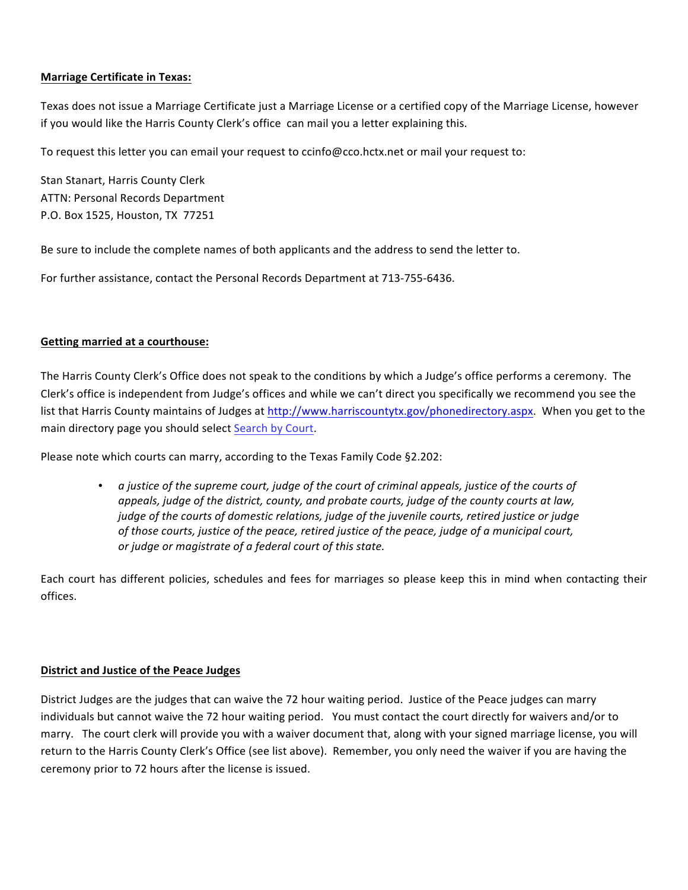# **Marriage Certificate in Texas:**

Texas does not issue a Marriage Certificate just a Marriage License or a certified copy of the Marriage License, however if you would like the Harris County Clerk's office can mail you a letter explaining this.

To request this letter you can email your request to ccinfo@cco.hctx.net or mail your request to:

Stan Stanart, Harris County Clerk ATTN: Personal Records Department P.O. Box 1525, Houston, TX 77251

Be sure to include the complete names of both applicants and the address to send the letter to.

For further assistance, contact the Personal Records Department at 713-755-6436.

## **Getting married at a courthouse:**

The Harris County Clerk's Office does not speak to the conditions by which a Judge's office performs a ceremony. The Clerk's office is independent from Judge's offices and while we can't direct you specifically we recommend you see the list that Harris County maintains of Judges at http://www.harriscountytx.gov/phonedirectory.aspx. When you get to the main directory page you should select Search by Court.

Please note which courts can marry, according to the Texas Family Code §2.202:

• *a justice of the supreme court, judge of the court of criminal appeals, justice of the courts of appeals, judge of the district, county, and probate courts, judge of the county courts at law, judge of the courts of domestic relations, judge of the juvenile courts, retired justice or judge of those courts, justice of the peace, retired justice of the peace, judge of a municipal court, or judge or magistrate of a federal court of this state.*

Each court has different policies, schedules and fees for marriages so please keep this in mind when contacting their offices.

## **District and Justice of the Peace Judges**

District Judges are the judges that can waive the 72 hour waiting period. Justice of the Peace judges can marry individuals but cannot waive the 72 hour waiting period. You must contact the court directly for waivers and/or to marry. The court clerk will provide you with a waiver document that, along with your signed marriage license, you will return to the Harris County Clerk's Office (see list above). Remember, you only need the waiver if you are having the ceremony prior to 72 hours after the license is issued.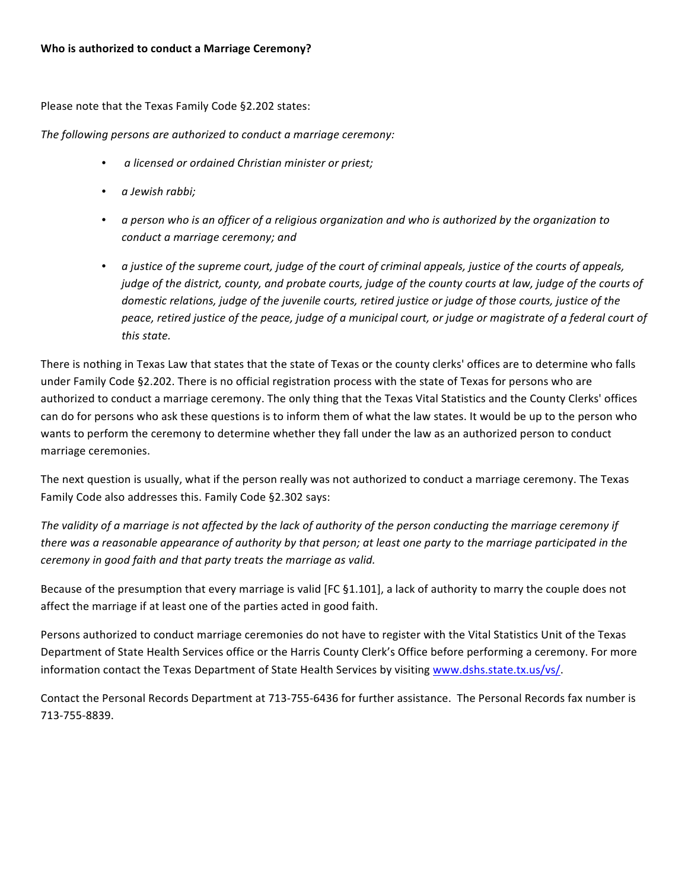Please note that the Texas Family Code §2.202 states:

The following persons are authorized to conduct a marriage ceremony:

- *a licensed or ordained Christian minister or priest;*
- *a Jewish rabbi;*
- a person who is an officer of a religious organization and who is authorized by the organization to *conduct a marriage ceremony; and*
- *a* justice of the supreme court, judge of the court of criminal appeals, justice of the courts of appeals, *judge* of the district, county, and probate courts, judge of the county courts at law, judge of the courts of *domestic relations, judge of the juvenile courts, retired justice or judge of those courts, justice of the peace, retired justice of the peace, judge of a municipal court, or judge or magistrate of a federal court of this state.*

There is nothing in Texas Law that states that the state of Texas or the county clerks' offices are to determine who falls under Family Code §2.202. There is no official registration process with the state of Texas for persons who are authorized to conduct a marriage ceremony. The only thing that the Texas Vital Statistics and the County Clerks' offices can do for persons who ask these questions is to inform them of what the law states. It would be up to the person who wants to perform the ceremony to determine whether they fall under the law as an authorized person to conduct marriage ceremonies.

The next question is usually, what if the person really was not authorized to conduct a marriage ceremony. The Texas Family Code also addresses this. Family Code §2.302 says:

The validity of a marriage is not affected by the lack of authority of the person conducting the marriage ceremony if *there* was a reasonable appearance of authority by that person; at least one party to the marriage participated in the *ceremony in good faith and that party treats the marriage as valid.* 

Because of the presumption that every marriage is valid [FC §1.101], a lack of authority to marry the couple does not affect the marriage if at least one of the parties acted in good faith.

Persons authorized to conduct marriage ceremonies do not have to register with the Vital Statistics Unit of the Texas Department of State Health Services office or the Harris County Clerk's Office before performing a ceremony. For more information contact the Texas Department of State Health Services by visiting www.dshs.state.tx.us/vs/.

Contact the Personal Records Department at 713-755-6436 for further assistance. The Personal Records fax number is 713-755-8839.